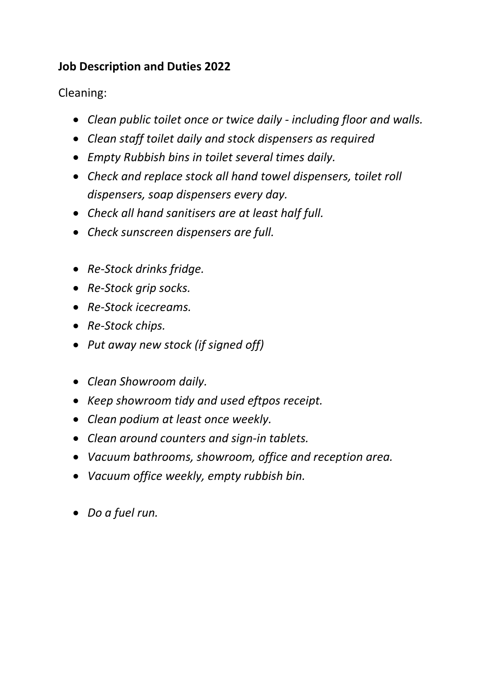## **Job Description and Duties 2022**

Cleaning:

- *Clean public toilet once or twice daily - including floor and walls.*
- *Clean staff toilet daily and stock dispensers as required*
- *Empty Rubbish bins in toilet several times daily.*
- *Check and replace stock all hand towel dispensers, toilet roll dispensers, soap dispensers every day.*
- *Check all hand sanitisers are at least half full.*
- *Check sunscreen dispensers are full.*
- *Re-Stock drinks fridge.*
- *Re-Stock grip socks.*
- *Re-Stock icecreams.*
- *Re-Stock chips.*
- *Put away new stock (if signed off)*
- *Clean Showroom daily.*
- *Keep showroom tidy and used eftpos receipt.*
- *Clean podium at least once weekly.*
- *Clean around counters and sign-in tablets.*
- *Vacuum bathrooms, showroom, office and reception area.*
- *Vacuum office weekly, empty rubbish bin.*
- *Do a fuel run.*